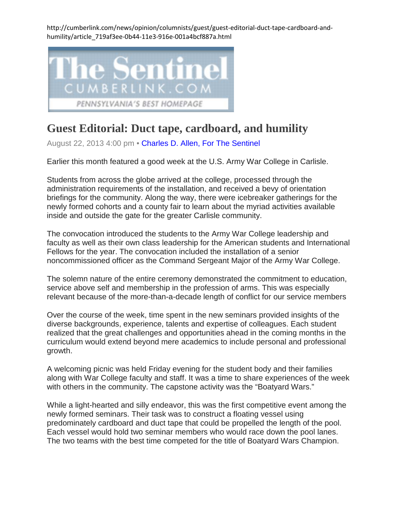http://cumberlink.com/news/opinion/columnists/guest/guest-editorial-duct-tape-cardboard-andhumility/article\_719af3ee-0b44-11e3-916e-001a4bcf887a.html



## **Guest Editorial: Duct tape, cardboard, and humility**

August 22, 2013 4:00 pm • [Charles D. Allen, For The Sentinel](http://cumberlink.com/search/?l=50&sd=desc&s=start_time&f=html&byline=Charles%20D.%20Allen%2C%20For%20The%20Sentinel)

Earlier this month featured a good week at the U.S. Army War College in Carlisle.

Students from across the globe arrived at the college, processed through the administration requirements of the installation, and received a bevy of orientation briefings for the community. Along the way, there were icebreaker gatherings for the newly formed cohorts and a county fair to learn about the myriad activities available inside and outside the gate for the greater Carlisle community.

The convocation introduced the students to the Army War College leadership and faculty as well as their own class leadership for the American students and International Fellows for the year. The convocation included the installation of a senior noncommissioned officer as the Command Sergeant Major of the Army War College.

The solemn nature of the entire ceremony demonstrated the commitment to education, service above self and membership in the profession of arms. This was especially relevant because of the more-than-a-decade length of conflict for our service members

Over the course of the week, time spent in the new seminars provided insights of the diverse backgrounds, experience, talents and expertise of colleagues. Each student realized that the great challenges and opportunities ahead in the coming months in the curriculum would extend beyond mere academics to include personal and professional growth.

A welcoming picnic was held Friday evening for the student body and their families along with War College faculty and staff. It was a time to share experiences of the week with others in the community. The capstone activity was the "Boatyard Wars."

While a light-hearted and silly endeavor, this was the first competitive event among the newly formed seminars. Their task was to construct a floating vessel using predominately cardboard and duct tape that could be propelled the length of the pool. Each vessel would hold two seminar members who would race down the pool lanes. The two teams with the best time competed for the title of Boatyard Wars Champion.